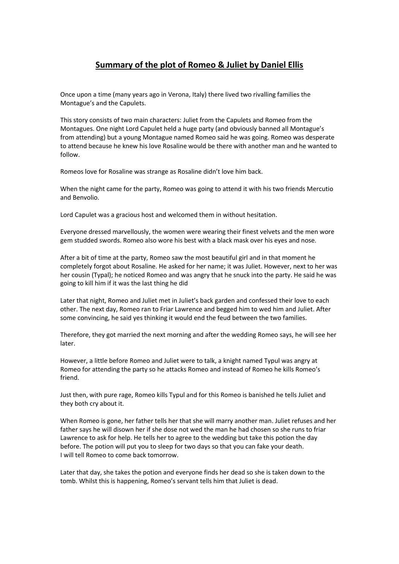## **Summary of the plot of Romeo & Juliet by Daniel Ellis**

Once upon a time (many years ago in Verona, Italy) there lived two rivalling families the Montague's and the Capulets.

This story consists of two main characters: Juliet from the Capulets and Romeo from the Montagues. One night Lord Capulet held a huge party (and obviously banned all Montague's from attending) but a young Montague named Romeo said he was going. Romeo was desperate to attend because he knew his love Rosaline would be there with another man and he wanted to follow.

Romeos love for Rosaline was strange as Rosaline didn't love him back.

When the night came for the party, Romeo was going to attend it with his two friends Mercutio and Benvolio.

Lord Capulet was a gracious host and welcomed them in without hesitation.

Everyone dressed marvellously, the women were wearing their finest velvets and the men wore gem studded swords. Romeo also wore his best with a black mask over his eyes and nose.

After a bit of time at the party, Romeo saw the most beautiful girl and in that moment he completely forgot about Rosaline. He asked for her name; it was Juliet. However, next to her was her cousin (Typal); he noticed Romeo and was angry that he snuck into the party. He said he was going to kill him if it was the last thing he did

Later that night, Romeo and Juliet met in Juliet's back garden and confessed their love to each other. The next day, Romeo ran to Friar Lawrence and begged him to wed him and Juliet. After some convincing, he said yes thinking it would end the feud between the two families.

Therefore, they got married the next morning and after the wedding Romeo says, he will see her later.

However, a little before Romeo and Juliet were to talk, a knight named Typul was angry at Romeo for attending the party so he attacks Romeo and instead of Romeo he kills Romeo's friend.

Just then, with pure rage, Romeo kills Typul and for this Romeo is banished he tells Juliet and they both cry about it.

When Romeo is gone, her father tells her that she will marry another man. Juliet refuses and her father says he will disown her if she dose not wed the man he had chosen so she runs to friar Lawrence to ask for help. He tells her to agree to the wedding but take this potion the day before. The potion will put you to sleep for two days so that you can fake your death. I will tell Romeo to come back tomorrow.

Later that day, she takes the potion and everyone finds her dead so she is taken down to the tomb. Whilst this is happening, Romeo's servant tells him that Juliet is dead.